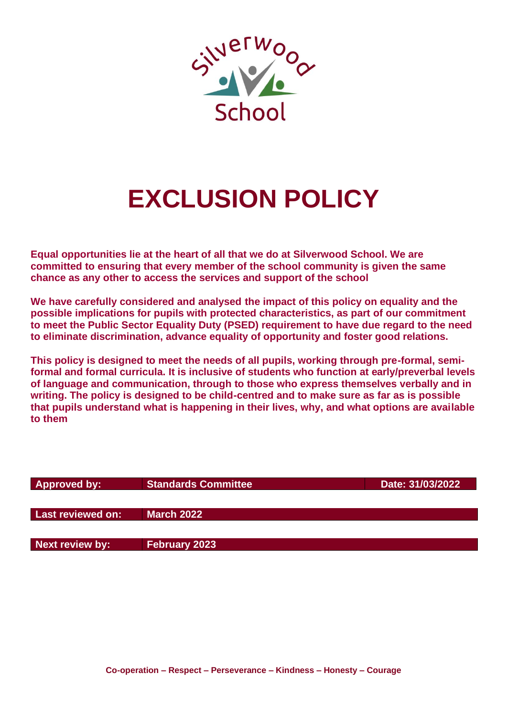

# **EXCLUSION POLICY**

**Equal opportunities lie at the heart of all that we do at Silverwood School. We are committed to ensuring that every member of the school community is given the same chance as any other to access the services and support of the school**

**We have carefully considered and analysed the impact of this policy on equality and the possible implications for pupils with protected characteristics, as part of our commitment to meet the Public Sector Equality Duty (PSED) requirement to have due regard to the need to eliminate discrimination, advance equality of opportunity and foster good relations.**

**This policy is designed to meet the needs of all pupils, working through pre-formal, semiformal and formal curricula. It is inclusive of students who function at early/preverbal levels of language and communication, through to those who express themselves verbally and in writing. The policy is designed to be child-centred and to make sure as far as is possible that pupils understand what is happening in their lives, why, and what options are available to them**

| <b>Approved by:</b> | <b>Standards Committee</b> | Date: 31/03/2022 |
|---------------------|----------------------------|------------------|
|                     |                            |                  |
|                     |                            |                  |
| Last reviewed on:   | <b>March 2022</b>          |                  |
|                     |                            |                  |
|                     |                            |                  |
| Next review by:     | <b>February 2023</b>       |                  |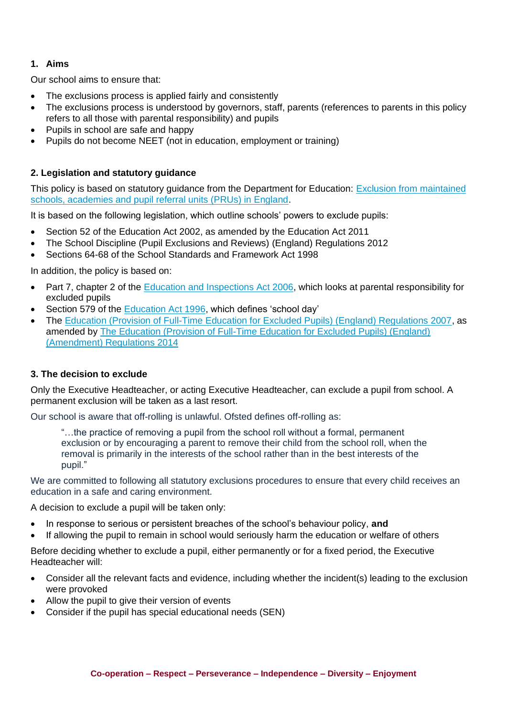## **1. Aims**

Our school aims to ensure that:

- The exclusions process is applied fairly and consistently
- The exclusions process is understood by governors, staff, parents (references to parents in this policy refers to all those with parental responsibility) and pupils
- Pupils in school are safe and happy
- Pupils do not become NEET (not in education, employment or training)

## **2. Legislation and statutory guidance**

This policy is based on statutory guidance from the Department for Education: [Exclusion from maintained](https://www.gov.uk/government/publications/school-exclusion)  [schools, academies and pupil referral units \(PRUs\) in England.](https://www.gov.uk/government/publications/school-exclusion)

It is based on the following legislation, which outline schools' powers to exclude pupils:

- Section 52 of the [Education Act 2002,](http://www.legislation.gov.uk/ukpga/2002/32/section/52) as amended by the [Education Act 2011](http://www.legislation.gov.uk/ukpga/2011/21/contents/enacted)
- [The School Discipline \(Pupil Exclusions and Reviews\) \(England\) Regulations 2012](http://www.legislation.gov.uk/uksi/2012/1033/made)
- Sections 64-68 of the [School Standards and Framework Act 1998](http://www.legislation.gov.uk/ukpga/1998/31)

In addition, the policy is based on:

- Part 7, chapter 2 of the [Education and Inspections Act 2006,](http://www.legislation.gov.uk/ukpga/2006/40/part/7/chapter/2) which looks at parental responsibility for excluded pupils
- Section 579 of the [Education Act 1996,](http://www.legislation.gov.uk/ukpga/1996/56/section/579) which defines 'school day'
- The [Education \(Provision of Full-Time Education for Excluded Pupils\) \(England\) Regulations 2007,](http://www.legislation.gov.uk/uksi/2007/1870/contents/made) as amended by [The Education \(Provision of Full-Time Education for Excluded Pupils\) \(England\)](http://www.legislation.gov.uk/uksi/2014/3216/contents/made)  [\(Amendment\) Regulations 2014](http://www.legislation.gov.uk/uksi/2014/3216/contents/made)

## **3. The decision to exclude**

Only the Executive Headteacher, or acting Executive Headteacher, can exclude a pupil from school. A permanent exclusion will be taken as a last resort.

Our school is aware that off-rolling is unlawful. Ofsted defines off-rolling as:

"…the practice of removing a pupil from the school roll without a formal, permanent exclusion or by encouraging a parent to remove their child from the school roll, when the removal is primarily in the interests of the school rather than in the best interests of the pupil."

We are committed to following all statutory exclusions procedures to ensure that every child receives an education in a safe and caring environment.

A decision to exclude a pupil will be taken only:

- In response to serious or persistent breaches of the school's behaviour policy, **and**
- If allowing the pupil to remain in school would seriously harm the education or welfare of others

Before deciding whether to exclude a pupil, either permanently or for a fixed period, the Executive Headteacher will:

- Consider all the relevant facts and evidence, including whether the incident(s) leading to the exclusion were provoked
- Allow the pupil to give their version of events
- Consider if the pupil has special educational needs (SEN)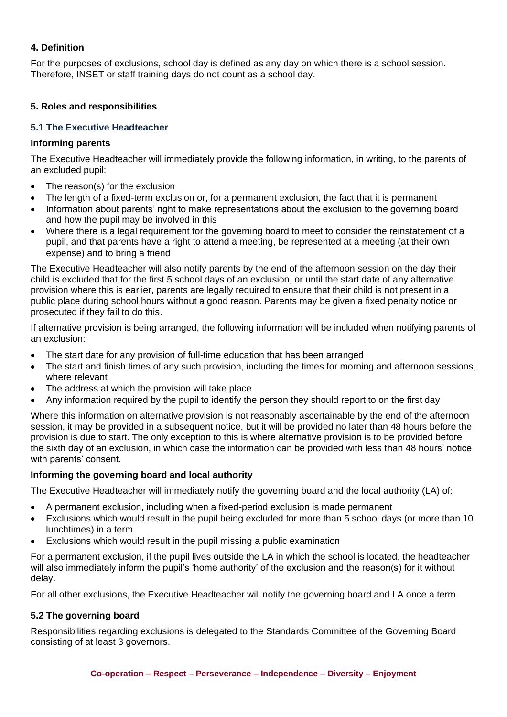# **4. Definition**

For the purposes of exclusions, school day is defined as any day on which there is a school session. Therefore, INSET or staff training days do not count as a school day.

## **5. Roles and responsibilities**

## **5.1 The Executive Headteacher**

## **Informing parents**

The Executive Headteacher will immediately provide the following information, in writing, to the parents of an excluded pupil:

- The reason(s) for the exclusion
- The length of a fixed-term exclusion or, for a permanent exclusion, the fact that it is permanent
- Information about parents' right to make representations about the exclusion to the governing board and how the pupil may be involved in this
- Where there is a legal requirement for the governing board to meet to consider the reinstatement of a pupil, and that parents have a right to attend a meeting, be represented at a meeting (at their own expense) and to bring a friend

The Executive Headteacher will also notify parents by the end of the afternoon session on the day their child is excluded that for the first 5 school days of an exclusion, or until the start date of any alternative provision where this is earlier, parents are legally required to ensure that their child is not present in a public place during school hours without a good reason. Parents may be given a fixed penalty notice or prosecuted if they fail to do this.

If alternative provision is being arranged, the following information will be included when notifying parents of an exclusion:

- The start date for any provision of full-time education that has been arranged
- The start and finish times of any such provision, including the times for morning and afternoon sessions, where relevant
- The address at which the provision will take place
- Any information required by the pupil to identify the person they should report to on the first day

Where this information on alternative provision is not reasonably ascertainable by the end of the afternoon session, it may be provided in a subsequent notice, but it will be provided no later than 48 hours before the provision is due to start. The only exception to this is where alternative provision is to be provided before the sixth day of an exclusion, in which case the information can be provided with less than 48 hours' notice with parents' consent.

## **Informing the governing board and local authority**

The Executive Headteacher will immediately notify the governing board and the local authority (LA) of:

- A permanent exclusion, including when a fixed-period exclusion is made permanent
- Exclusions which would result in the pupil being excluded for more than 5 school days (or more than 10 lunchtimes) in a term
- Exclusions which would result in the pupil missing a public examination

For a permanent exclusion, if the pupil lives outside the LA in which the school is located, the headteacher will also immediately inform the pupil's 'home authority' of the exclusion and the reason(s) for it without delay.

For all other exclusions, the Executive Headteacher will notify the governing board and LA once a term.

## **5.2 The governing board**

Responsibilities regarding exclusions is delegated to the Standards Committee of the Governing Board consisting of at least 3 governors.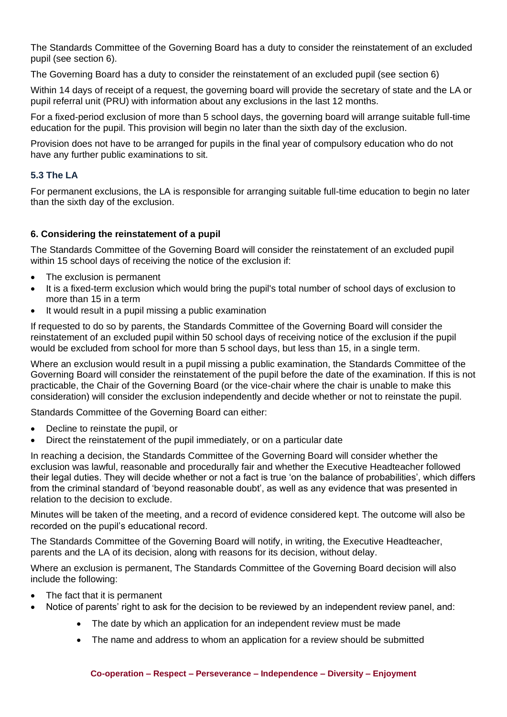The Standards Committee of the Governing Board has a duty to consider the reinstatement of an excluded pupil (see section 6).

The Governing Board has a duty to consider the reinstatement of an excluded pupil (see section 6)

Within 14 days of receipt of a request, the governing board will provide the secretary of state and the LA or pupil referral unit (PRU) with information about any exclusions in the last 12 months.

For a fixed-period exclusion of more than 5 school days, the governing board will arrange suitable full-time education for the pupil. This provision will begin no later than the sixth day of the exclusion.

Provision does not have to be arranged for pupils in the final year of compulsory education who do not have any further public examinations to sit.

# **5.3 The LA**

For permanent exclusions, the LA is responsible for arranging suitable full-time education to begin no later than the sixth day of the exclusion.

# **6. Considering the reinstatement of a pupil**

The Standards Committee of the Governing Board will consider the reinstatement of an excluded pupil within 15 school days of receiving the notice of the exclusion if:

- The exclusion is permanent
- It is a fixed-term exclusion which would bring the pupil's total number of school days of exclusion to more than 15 in a term
- It would result in a pupil missing a public examination

If requested to do so by parents, the Standards Committee of the Governing Board will consider the reinstatement of an excluded pupil within 50 school days of receiving notice of the exclusion if the pupil would be excluded from school for more than 5 school days, but less than 15, in a single term.

Where an exclusion would result in a pupil missing a public examination, the Standards Committee of the Governing Board will consider the reinstatement of the pupil before the date of the examination. If this is not practicable, the Chair of the Governing Board (or the vice-chair where the chair is unable to make this consideration) will consider the exclusion independently and decide whether or not to reinstate the pupil.

Standards Committee of the Governing Board can either:

- Decline to reinstate the pupil, or
- Direct the reinstatement of the pupil immediately, or on a particular date

In reaching a decision, the Standards Committee of the Governing Board will consider whether the exclusion was lawful, reasonable and procedurally fair and whether the Executive Headteacher followed their legal duties. They will decide whether or not a fact is true 'on the balance of probabilities', which differs from the criminal standard of 'beyond reasonable doubt', as well as any evidence that was presented in relation to the decision to exclude.

Minutes will be taken of the meeting, and a record of evidence considered kept. The outcome will also be recorded on the pupil's educational record.

The Standards Committee of the Governing Board will notify, in writing, the Executive Headteacher, parents and the LA of its decision, along with reasons for its decision, without delay.

Where an exclusion is permanent, The Standards Committee of the Governing Board decision will also include the following:

- The fact that it is permanent
- Notice of parents' right to ask for the decision to be reviewed by an independent review panel, and:
	- The date by which an application for an independent review must be made
	- The name and address to whom an application for a review should be submitted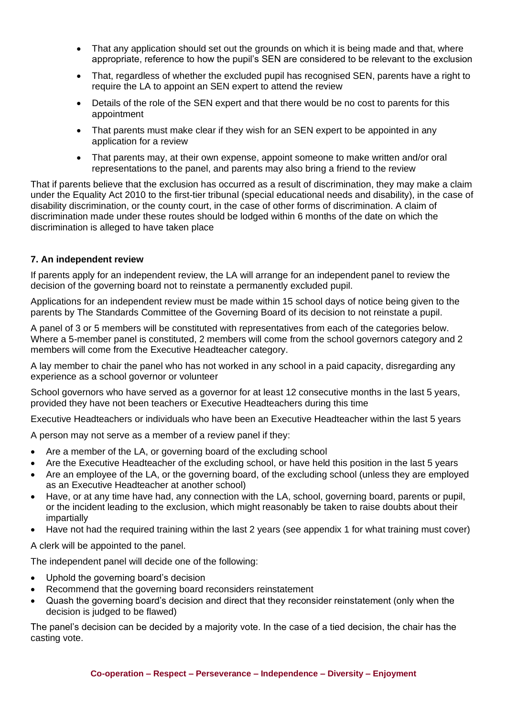- That any application should set out the grounds on which it is being made and that, where appropriate, reference to how the pupil's SEN are considered to be relevant to the exclusion
- That, regardless of whether the excluded pupil has recognised SEN, parents have a right to require the LA to appoint an SEN expert to attend the review
- Details of the role of the SEN expert and that there would be no cost to parents for this appointment
- That parents must make clear if they wish for an SEN expert to be appointed in any application for a review
- That parents may, at their own expense, appoint someone to make written and/or oral representations to the panel, and parents may also bring a friend to the review

That if parents believe that the exclusion has occurred as a result of discrimination, they may make a claim under the Equality Act 2010 to the first-tier tribunal (special educational needs and disability), in the case of disability discrimination, or the county court, in the case of other forms of discrimination. A claim of discrimination made under these routes should be lodged within 6 months of the date on which the discrimination is alleged to have taken place

## **7. An independent review**

If parents apply for an independent review, the LA will arrange for an independent panel to review the decision of the governing board not to reinstate a permanently excluded pupil.

Applications for an independent review must be made within 15 school days of notice being given to the parents by The Standards Committee of the Governing Board of its decision to not reinstate a pupil.

A panel of 3 or 5 members will be constituted with representatives from each of the categories below. Where a 5-member panel is constituted, 2 members will come from the school governors category and 2 members will come from the Executive Headteacher category.

A lay member to chair the panel who has not worked in any school in a paid capacity, disregarding any experience as a school governor or volunteer

School governors who have served as a governor for at least 12 consecutive months in the last 5 years, provided they have not been teachers or Executive Headteachers during this time

Executive Headteachers or individuals who have been an Executive Headteacher within the last 5 years

A person may not serve as a member of a review panel if they:

- Are a member of the LA, or governing board of the excluding school
- Are the Executive Headteacher of the excluding school, or have held this position in the last 5 years
- Are an employee of the LA, or the governing board, of the excluding school (unless they are employed as an Executive Headteacher at another school)
- Have, or at any time have had, any connection with the LA, school, governing board, parents or pupil, or the incident leading to the exclusion, which might reasonably be taken to raise doubts about their impartially
- Have not had the required training within the last 2 years (see appendix 1 for what training must cover)

A clerk will be appointed to the panel.

The independent panel will decide one of the following:

- Uphold the governing board's decision
- Recommend that the governing board reconsiders reinstatement
- Quash the governing board's decision and direct that they reconsider reinstatement (only when the decision is judged to be flawed)

The panel's decision can be decided by a majority vote. In the case of a tied decision, the chair has the casting vote.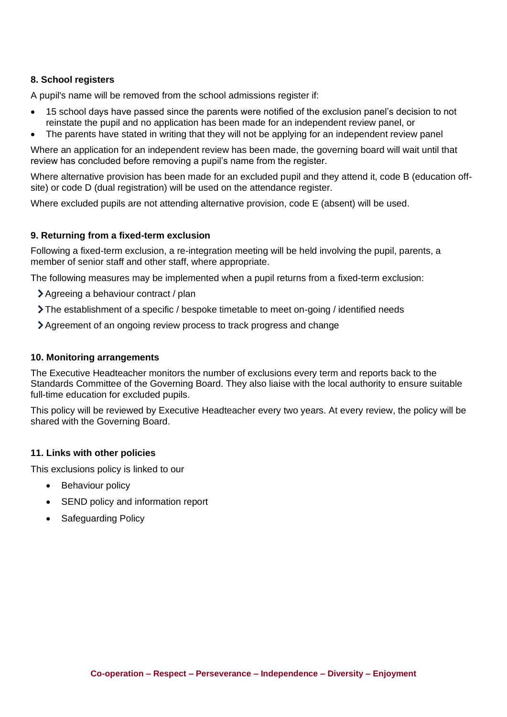## **8. School registers**

A pupil's name will be removed from the school admissions register if:

- 15 school days have passed since the parents were notified of the exclusion panel's decision to not reinstate the pupil and no application has been made for an independent review panel, or
- The parents have stated in writing that they will not be applying for an independent review panel

Where an application for an independent review has been made, the governing board will wait until that review has concluded before removing a pupil's name from the register.

Where alternative provision has been made for an excluded pupil and they attend it, code B (education offsite) or code D (dual registration) will be used on the attendance register.

Where excluded pupils are not attending alternative provision, code E (absent) will be used.

#### **9. Returning from a fixed-term exclusion**

Following a fixed-term exclusion, a re-integration meeting will be held involving the pupil, parents, a member of senior staff and other staff, where appropriate.

The following measures may be implemented when a pupil returns from a fixed-term exclusion:

- Agreeing a behaviour contract / plan
- The establishment of a specific / bespoke timetable to meet on-going / identified needs
- Agreement of an ongoing review process to track progress and change

#### **10. Monitoring arrangements**

The Executive Headteacher monitors the number of exclusions every term and reports back to the Standards Committee of the Governing Board. They also liaise with the local authority to ensure suitable full-time education for excluded pupils.

This policy will be reviewed by Executive Headteacher every two years. At every review, the policy will be shared with the Governing Board.

#### **11. Links with other policies**

This exclusions policy is linked to our

- **Behaviour policy**
- SEND policy and information report
- Safeguarding Policy